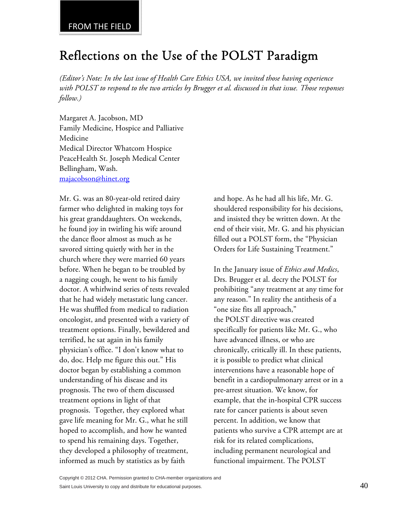## Reflections on the Use of the POLST Paradigm

*(Editor's Note: In the last issue of Health Care Ethics USA, we invited those having experience with POLST to respond to the two articles by Brugger et al. discussed in that issue. Those responses follow.)* 

Margaret A. Jacobson, MD Family Medicine, Hospice and Palliative Medicine Medical Director Whatcom Hospice PeaceHealth St. Joseph Medical Center Bellingham, Wash. majacobson@hinet.org

Mr. G. was an 80-year-old retired dairy farmer who delighted in making toys for his great granddaughters. On weekends, he found joy in twirling his wife around the dance floor almost as much as he savored sitting quietly with her in the church where they were married 60 years before. When he began to be troubled by a nagging cough, he went to his family doctor. A whirlwind series of tests revealed that he had widely metastatic lung cancer. He was shuffled from medical to radiation oncologist, and presented with a variety of treatment options. Finally, bewildered and terrified, he sat again in his family physician's office. "I don't know what to do, doc. Help me figure this out." His doctor began by establishing a common understanding of his disease and its prognosis. The two of them discussed treatment options in light of that prognosis. Together, they explored what gave life meaning for Mr. G., what he still hoped to accomplish, and how he wanted to spend his remaining days. Together, they developed a philosophy of treatment, informed as much by statistics as by faith

and hope. As he had all his life, Mr. G. shouldered responsibility for his decisions, and insisted they be written down. At the end of their visit, Mr. G. and his physician filled out a POLST form, the "Physician Orders for Life Sustaining Treatment."

In the January issue of *Ethics and Medics*, Drs. Brugger et al. decry the POLST for prohibiting "any treatment at any time for any reason." In reality the antithesis of a "one size fits all approach," the POLST directive was created specifically for patients like Mr. G., who have advanced illness, or who are chronically, critically ill. In these patients, it is possible to predict what clinical interventions have a reasonable hope of benefit in a cardiopulmonary arrest or in a pre-arrest situation. We know, for example, that the in-hospital CPR success rate for cancer patients is about seven percent. In addition, we know that patients who survive a CPR attempt are at risk for its related complications, including permanent neurological and functional impairment. The POLST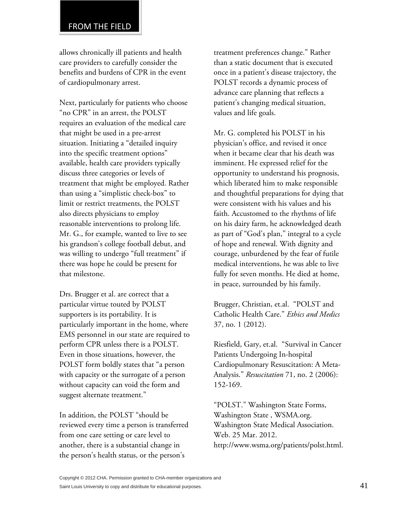allows chronically ill patients and health care providers to carefully consider the benefits and burdens of CPR in the event of cardiopulmonary arrest.

Next, particularly for patients who choose "no CPR" in an arrest, the POLST requires an evaluation of the medical care that might be used in a pre-arrest situation. Initiating a "detailed inquiry into the specific treatment options" available, health care providers typically discuss three categories or levels of treatment that might be employed. Rather than using a "simplistic check-box" to limit or restrict treatments, the POLST also directs physicians to employ reasonable interventions to prolong life. Mr. G., for example, wanted to live to see his grandson's college football debut, and was willing to undergo "full treatment" if there was hope he could be present for that milestone.

Drs. Brugger et al. are correct that a particular virtue touted by POLST supporters is its portability. It is particularly important in the home, where EMS personnel in our state are required to perform CPR unless there is a POLST. Even in those situations, however, the POLST form boldly states that "a person with capacity or the surrogate of a person without capacity can void the form and suggest alternate treatment."

In addition, the POLST "should be reviewed every time a person is transferred from one care setting or care level to another, there is a substantial change in the person's health status, or the person's

treatment preferences change." Rather than a static document that is executed once in a patient's disease trajectory, the POLST records a dynamic process of advance care planning that reflects a patient's changing medical situation, values and life goals.

Mr. G. completed his POLST in his physician's office, and revised it once when it became clear that his death was imminent. He expressed relief for the opportunity to understand his prognosis, which liberated him to make responsible and thoughtful preparations for dying that were consistent with his values and his faith. Accustomed to the rhythms of life on his dairy farm, he acknowledged death as part of "God's plan," integral to a cycle of hope and renewal. With dignity and courage, unburdened by the fear of futile medical interventions, he was able to live fully for seven months. He died at home, in peace, surrounded by his family.

Brugger, Christian, et.al. "POLST and Catholic Health Care." *Ethics and Medics* 37, no. 1 (2012).

Riesfield, Gary, et.al. "Survival in Cancer Patients Undergoing In-hospital Cardiopulmonary Resuscitation: A Meta-Analysis." *Resuscitation* 71, no. 2 (2006): 152-169.

"POLST." Washington State Forms, Washington State , WSMA.org. Washington State Medical Association. Web. 25 Mar. 2012. http://www.wsma.org/patients/polst.html.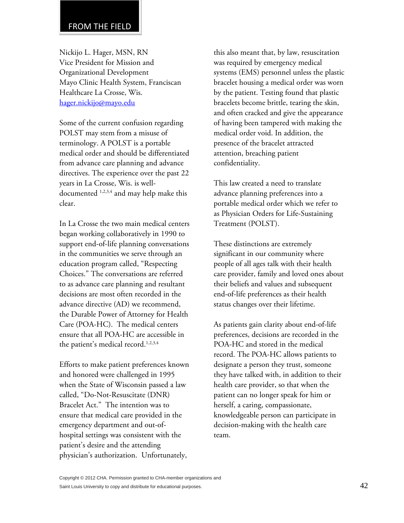Nickijo L. Hager, MSN, RN Vice President for Mission and Organizational Development Mayo Clinic Health System, Franciscan Healthcare La Crosse, Wis. hager.nickijo@mayo.edu

Some of the current confusion regarding POLST may stem from a misuse of terminology. A POLST is a portable medical order and should be differentiated from advance care planning and advance directives. The experience over the past 22 years in La Crosse, Wis. is welldocumented 1,2,3,4 and may help make this clear.

In La Crosse the two main medical centers began working collaboratively in 1990 to support end-of-life planning conversations in the communities we serve through an education program called, "Respecting Choices." The conversations are referred to as advance care planning and resultant decisions are most often recorded in the advance directive (AD) we recommend, the Durable Power of Attorney for Health Care (POA-HC). The medical centers ensure that all POA-HC are accessible in the patient's medical record.<sup>1,2,3,4</sup>

Efforts to make patient preferences known and honored were challenged in 1995 when the State of Wisconsin passed a law called, "Do-Not-Resuscitate (DNR) Bracelet Act." The intention was to ensure that medical care provided in the emergency department and out-ofhospital settings was consistent with the patient's desire and the attending physician's authorization. Unfortunately,

this also meant that, by law, resuscitation was required by emergency medical systems (EMS) personnel unless the plastic bracelet housing a medical order was worn by the patient. Testing found that plastic bracelets become brittle, tearing the skin, and often cracked and give the appearance of having been tampered with making the medical order void. In addition, the presence of the bracelet attracted attention, breaching patient confidentiality.

This law created a need to translate advance planning preferences into a portable medical order which we refer to as Physician Orders for Life-Sustaining Treatment (POLST).

These distinctions are extremely significant in our community where people of all ages talk with their health care provider, family and loved ones about their beliefs and values and subsequent end-of-life preferences as their health status changes over their lifetime.

As patients gain clarity about end-of-life preferences, decisions are recorded in the POA-HC and stored in the medical record. The POA-HC allows patients to designate a person they trust, someone they have talked with, in addition to their health care provider, so that when the patient can no longer speak for him or herself, a caring, compassionate, knowledgeable person can participate in decision-making with the health care team.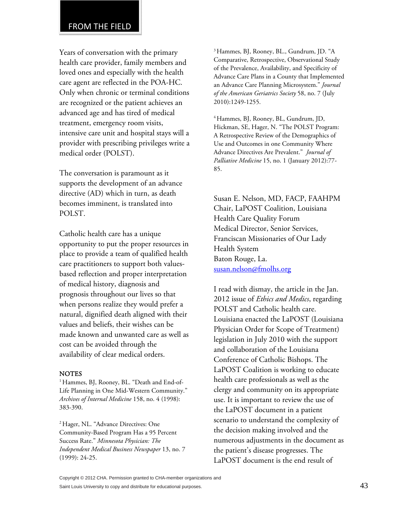Years of conversation with the primary health care provider, family members and loved ones and especially with the health care agent are reflected in the POA-HC. Only when chronic or terminal conditions are recognized or the patient achieves an advanced age and has tired of medical treatment, emergency room visits, intensive care unit and hospital stays will a provider with prescribing privileges write a medical order (POLST).

The conversation is paramount as it supports the development of an advance directive (AD) which in turn, as death becomes imminent, is translated into POLST.

Catholic health care has a unique opportunity to put the proper resources in place to provide a team of qualified health care practitioners to support both valuesbased reflection and proper interpretation of medical history, diagnosis and prognosis throughout our lives so that when persons realize they would prefer a natural, dignified death aligned with their values and beliefs, their wishes can be made known and unwanted care as well as cost can be avoided through the availability of clear medical orders.

## **NOTES**

<sup>1</sup> Hammes, BJ, Rooney, BL. "Death and End-of-Life Planning in One Mid-Western Community." *Archives of Internal Medicine* 158, no. 4 (1998): 383-390.

2 Hager, NL. "Advance Directives: One Community-Based Program Has a 95 Percent Success Rate." *Minnesota Physician: The Independent Medical Business Newspaper* 13, no. 7 (1999): 24-25.

3 Hammes, BJ, Rooney, BL., Gundrum, JD. "A Comparative, Retrospective, Observational Study of the Prevalence, Availability, and Specificity of Advance Care Plans in a County that Implemented an Advance Care Planning Microsystem." *Journal of the American Geriatrics Society* 58, no. 7 (July 2010):1249-1255.

4 Hammes, BJ, Rooney, BL, Gundrum, JD, Hickman, SE, Hager, N. "The POLST Program: A Retrospective Review of the Demographics of Use and Outcomes in one Community Where Advance Directives Are Prevalent." *Journal of Palliative Medicine* 15, no. 1 (January 2012):77- 85.

Susan E. Nelson, MD, FACP, FAAHPM Chair, LaPOST Coalition, Louisiana Health Care Quality Forum Medical Director, Senior Services, Franciscan Missionaries of Our Lady Health System Baton Rouge, La. susan.nelson@fmolhs.org

I read with dismay, the article in the Jan. 2012 issue of *Ethics and Medics*, regarding POLST and Catholic health care. Louisiana enacted the LaPOST (Louisiana Physician Order for Scope of Treatment) legislation in July 2010 with the support and collaboration of the Louisiana Conference of Catholic Bishops. The LaPOST Coalition is working to educate health care professionals as well as the clergy and community on its appropriate use. It is important to review the use of the LaPOST document in a patient scenario to understand the complexity of the decision making involved and the numerous adjustments in the document as the patient's disease progresses. The LaPOST document is the end result of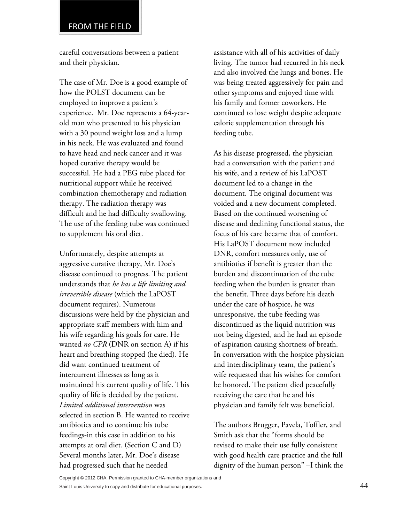## FROM THE FIELD

careful conversations between a patient and their physician.

The case of Mr. Doe is a good example of how the POLST document can be employed to improve a patient's experience. Mr. Doe represents a 64-yearold man who presented to his physician with a 30 pound weight loss and a lump in his neck. He was evaluated and found to have head and neck cancer and it was hoped curative therapy would be successful. He had a PEG tube placed for nutritional support while he received combination chemotherapy and radiation therapy. The radiation therapy was difficult and he had difficulty swallowing. The use of the feeding tube was continued to supplement his oral diet.

Unfortunately, despite attempts at aggressive curative therapy, Mr. Doe's disease continued to progress. The patient understands that *he has a life limiting and irreversible disease* (which the LaPOST document requires). Numerous discussions were held by the physician and appropriate staff members with him and his wife regarding his goals for care. He wanted *no CPR* (DNR on section A) if his heart and breathing stopped (he died). He did want continued treatment of intercurrent illnesses as long as it maintained his current quality of life. This quality of life is decided by the patient. *Limited additional intervention* was selected in section B. He wanted to receive antibiotics and to continue his tube feedings-in this case in addition to his attempts at oral diet. (Section C and D) Several months later, Mr. Doe's disease had progressed such that he needed

assistance with all of his activities of daily living. The tumor had recurred in his neck and also involved the lungs and bones. He was being treated aggressively for pain and other symptoms and enjoyed time with his family and former coworkers. He continued to lose weight despite adequate calorie supplementation through his feeding tube.

As his disease progressed, the physician had a conversation with the patient and his wife, and a review of his LaPOST document led to a change in the document. The original document was voided and a new document completed. Based on the continued worsening of disease and declining functional status, the focus of his care became that of comfort. His LaPOST document now included DNR, comfort measures only, use of antibiotics if benefit is greater than the burden and discontinuation of the tube feeding when the burden is greater than the benefit. Three days before his death under the care of hospice, he was unresponsive, the tube feeding was discontinued as the liquid nutrition was not being digested, and he had an episode of aspiration causing shortness of breath. In conversation with the hospice physician and interdisciplinary team, the patient's wife requested that his wishes for comfort be honored. The patient died peacefully receiving the care that he and his physician and family felt was beneficial.

The authors Brugger, Pavela, Toffler, and Smith ask that the "forms should be revised to make their use fully consistent with good health care practice and the full dignity of the human person" –I think the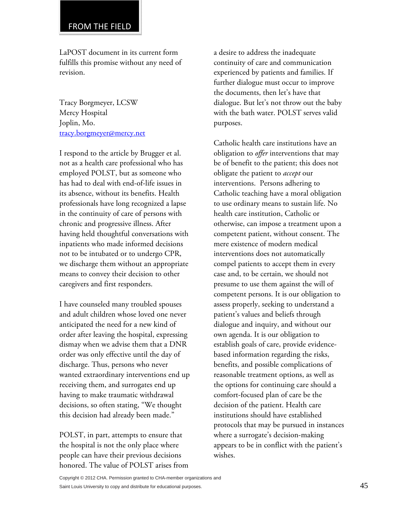LaPOST document in its current form fulfills this promise without any need of revision.

Tracy Borgmeyer, LCSW Mercy Hospital Joplin, Mo. tracy.borgmeyer@mercy.net

I respond to the article by Brugger et al. not as a health care professional who has employed POLST, but as someone who has had to deal with end-of-life issues in its absence, without its benefits. Health professionals have long recognized a lapse in the continuity of care of persons with chronic and progressive illness. After having held thoughtful conversations with inpatients who made informed decisions not to be intubated or to undergo CPR, we discharge them without an appropriate means to convey their decision to other caregivers and first responders.

I have counseled many troubled spouses and adult children whose loved one never anticipated the need for a new kind of order after leaving the hospital, expressing dismay when we advise them that a DNR order was only effective until the day of discharge. Thus, persons who never wanted extraordinary interventions end up receiving them, and surrogates end up having to make traumatic withdrawal decisions, so often stating, "We thought this decision had already been made."

POLST, in part, attempts to ensure that the hospital is not the only place where people can have their previous decisions honored. The value of POLST arises from a desire to address the inadequate continuity of care and communication experienced by patients and families. If further dialogue must occur to improve the documents, then let's have that dialogue. But let's not throw out the baby with the bath water. POLST serves valid purposes.

Catholic health care institutions have an obligation to *offer* interventions that may be of benefit to the patient; this does not obligate the patient to *accept* our interventions. Persons adhering to Catholic teaching have a moral obligation to use ordinary means to sustain life. No health care institution, Catholic or otherwise, can impose a treatment upon a competent patient, without consent. The mere existence of modern medical interventions does not automatically compel patients to accept them in every case and, to be certain, we should not presume to use them against the will of competent persons. It is our obligation to assess properly, seeking to understand a patient's values and beliefs through dialogue and inquiry, and without our own agenda. It is our obligation to establish goals of care, provide evidencebased information regarding the risks, benefits, and possible complications of reasonable treatment options, as well as the options for continuing care should a comfort-focused plan of care be the decision of the patient. Health care institutions should have established protocols that may be pursued in instances where a surrogate's decision-making appears to be in conflict with the patient's wishes.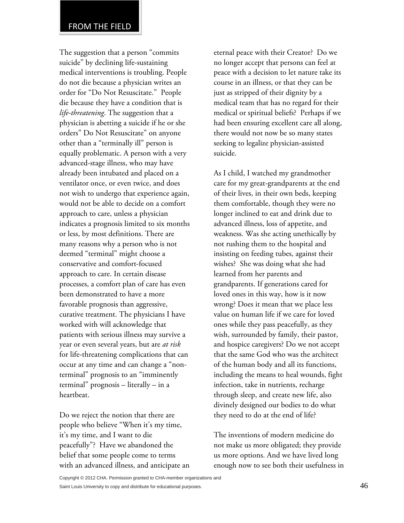The suggestion that a person "commits suicide" by declining life-sustaining medical interventions is troubling. People do not die because a physician writes an order for "Do Not Resuscitate." People die because they have a condition that is *life-threatening*. The suggestion that a physician is abetting a suicide if he or she orders" Do Not Resuscitate" on anyone other than a "terminally ill" person is equally problematic. A person with a very advanced-stage illness, who may have already been intubated and placed on a ventilator once, or even twice, and does not wish to undergo that experience again, would not be able to decide on a comfort approach to care, unless a physician indicates a prognosis limited to six months or less, by most definitions. There are many reasons why a person who is not deemed "terminal" might choose a conservative and comfort-focused approach to care. In certain disease processes, a comfort plan of care has even been demonstrated to have a more favorable prognosis than aggressive, curative treatment. The physicians I have worked with will acknowledge that patients with serious illness may survive a year or even several years, but are *at risk* for life-threatening complications that can occur at any time and can change a "nonterminal" prognosis to an "imminently terminal" prognosis – literally – in a heartbeat.

Do we reject the notion that there are people who believe "When it's my time, it's my time, and I want to die peacefully"? Have we abandoned the belief that some people come to terms with an advanced illness, and anticipate an eternal peace with their Creator? Do we no longer accept that persons can feel at peace with a decision to let nature take its course in an illness, or that they can be just as stripped of their dignity by a medical team that has no regard for their medical or spiritual beliefs? Perhaps if we had been ensuring excellent care all along, there would not now be so many states seeking to legalize physician-assisted suicide.

As I child, I watched my grandmother care for my great-grandparents at the end of their lives, in their own beds, keeping them comfortable, though they were no longer inclined to eat and drink due to advanced illness, loss of appetite, and weakness. Was she acting unethically by not rushing them to the hospital and insisting on feeding tubes, against their wishes? She was doing what she had learned from her parents and grandparents. If generations cared for loved ones in this way, how is it now wrong? Does it mean that we place less value on human life if we care for loved ones while they pass peacefully, as they wish, surrounded by family, their pastor, and hospice caregivers? Do we not accept that the same God who was the architect of the human body and all its functions, including the means to heal wounds, fight infection, take in nutrients, recharge through sleep, and create new life, also divinely designed our bodies to do what they need to do at the end of life?

The inventions of modern medicine do not make us more obligated; they provide us more options. And we have lived long enough now to see both their usefulness in

Copyright © 2012 CHA. Permission granted to CHA-member organizations and

Saint Louis University to copy and distribute for educational purposes.  $46$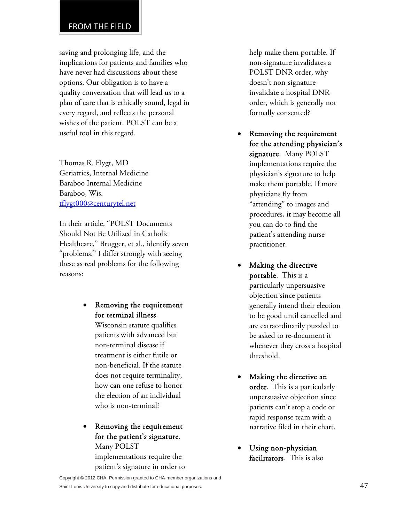## FROM THE FIELD

saving and prolonging life, and the implications for patients and families who have never had discussions about these options. Our obligation is to have a quality conversation that will lead us to a plan of care that is ethically sound, legal in every regard, and reflects the personal wishes of the patient. POLST can be a useful tool in this regard.

Thomas R. Flygt, MD Geriatrics, Internal Medicine Baraboo Internal Medicine Baraboo, Wis. tflygt000@centurytel.net

In their article, "POLST Documents Should Not Be Utilized in Catholic Healthcare," Brugger, et al., identify seven "problems." I differ strongly with seeing these as real problems for the following reasons:

> Removing the requirement for terminal illness.

> > Wisconsin statute qualifies patients with advanced but non-terminal disease if treatment is either futile or non-beneficial. If the statute does not require terminality, how can one refuse to honor the election of an individual who is non-terminal?

 Removing the requirement for the patient's signature. Many POLST

implementations require the patient's signature in order to help make them portable. If non-signature invalidates a POLST DNR order, why doesn't non-signature invalidate a hospital DNR order, which is generally not formally consented?

- Removing the requirement for the attending physician's signature. Many POLST implementations require the physician's signature to help make them portable. If more physicians fly from "attending" to images and procedures, it may become all you can do to find the patient's attending nurse practitioner.
- Making the directive portable. This is a particularly unpersuasive objection since patients generally intend their election to be good until cancelled and are extraordinarily puzzled to be asked to re-document it whenever they cross a hospital threshold.
- Making the directive an order. This is a particularly unpersuasive objection since patients can't stop a code or rapid response team with a narrative filed in their chart.
- Using non-physician facilitators. This is also

Copyright © 2012 CHA. Permission granted to CHA-member organizations and Saint Louis University to copy and distribute for educational purposes. 47